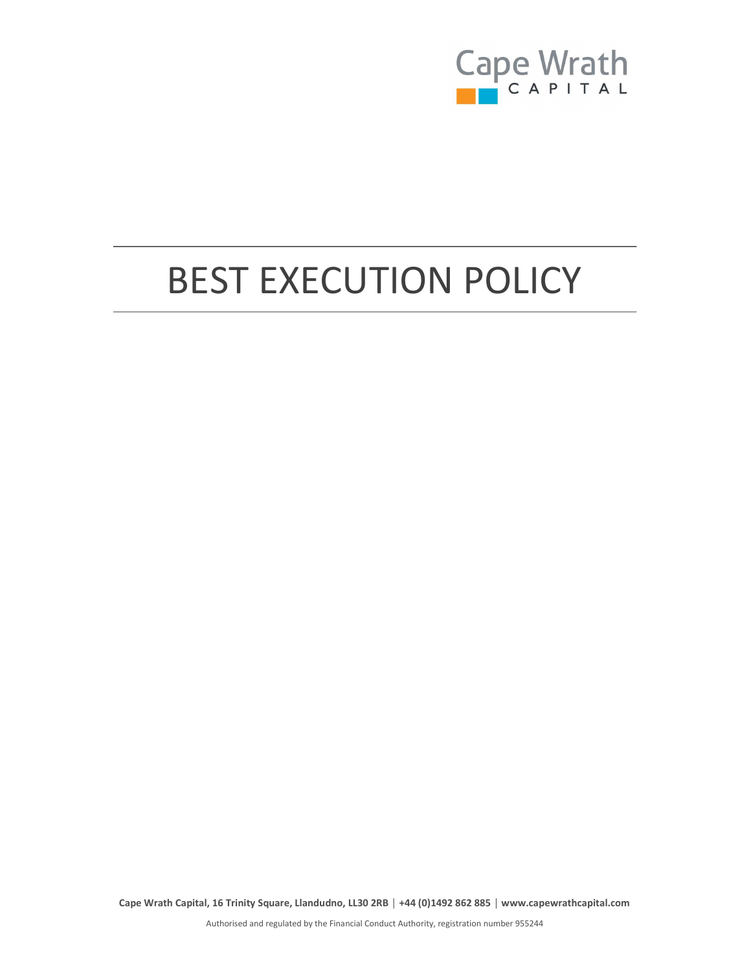

# BEST EXECUTION POLICY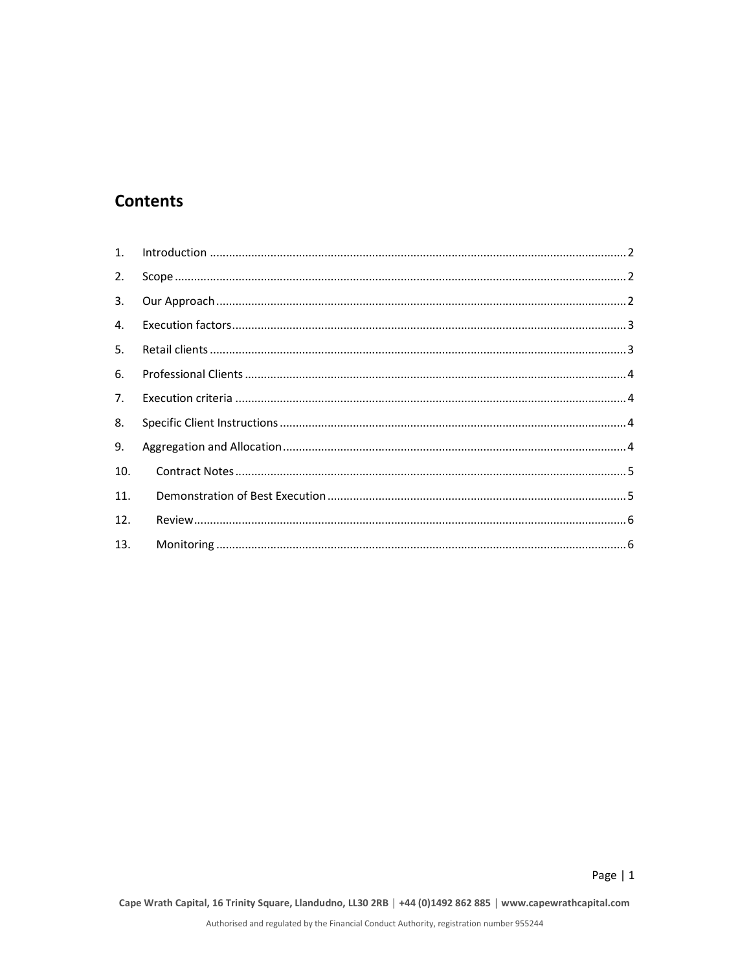## **Contents**

| 2.             |  |
|----------------|--|
| 3.             |  |
| 4.             |  |
| 5.             |  |
| 6.             |  |
| 7 <sub>1</sub> |  |
| 8.             |  |
| 9.             |  |
| 10.            |  |
| 11.            |  |
| 12.            |  |
| 13.            |  |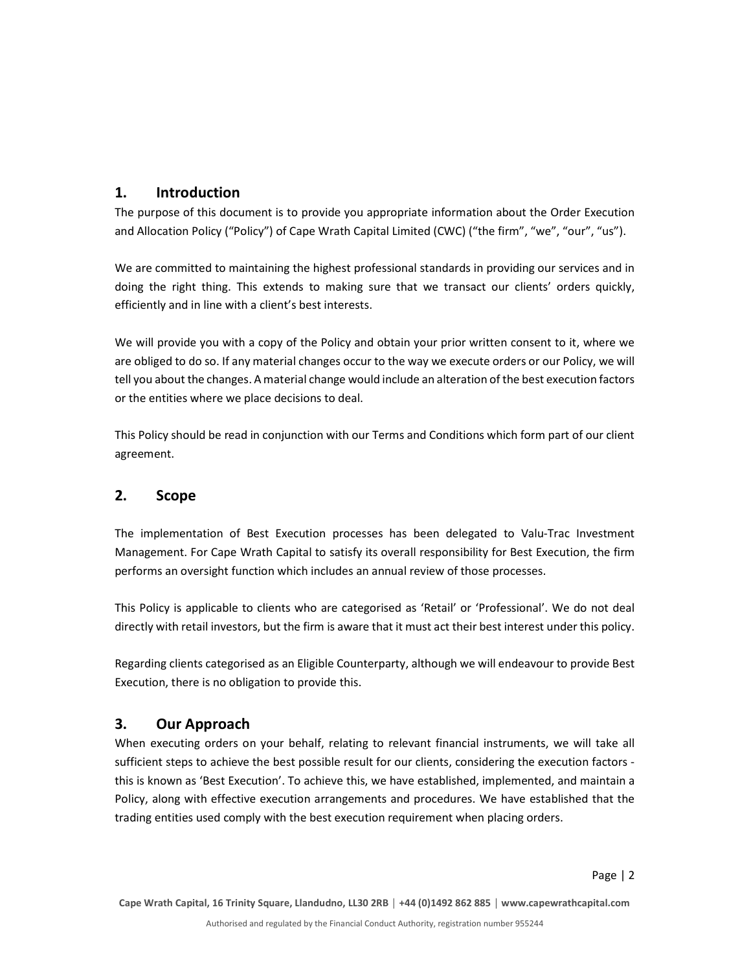#### 1. Introduction

The purpose of this document is to provide you appropriate information about the Order Execution and Allocation Policy ("Policy") of Cape Wrath Capital Limited (CWC) ("the firm", "we", "our", "us").

We are committed to maintaining the highest professional standards in providing our services and in doing the right thing. This extends to making sure that we transact our clients' orders quickly, efficiently and in line with a client's best interests.

We will provide you with a copy of the Policy and obtain your prior written consent to it, where we are obliged to do so. If any material changes occur to the way we execute orders or our Policy, we will tell you about the changes. A material change would include an alteration of the best execution factors or the entities where we place decisions to deal.

This Policy should be read in conjunction with our Terms and Conditions which form part of our client agreement.

#### 2. Scope

The implementation of Best Execution processes has been delegated to Valu-Trac Investment Management. For Cape Wrath Capital to satisfy its overall responsibility for Best Execution, the firm performs an oversight function which includes an annual review of those processes.

This Policy is applicable to clients who are categorised as 'Retail' or 'Professional'. We do not deal directly with retail investors, but the firm is aware that it must act their best interest under this policy.

Regarding clients categorised as an Eligible Counterparty, although we will endeavour to provide Best Execution, there is no obligation to provide this.

#### 3. Our Approach

When executing orders on your behalf, relating to relevant financial instruments, we will take all sufficient steps to achieve the best possible result for our clients, considering the execution factors this is known as 'Best Execution'. To achieve this, we have established, implemented, and maintain a Policy, along with effective execution arrangements and procedures. We have established that the trading entities used comply with the best execution requirement when placing orders.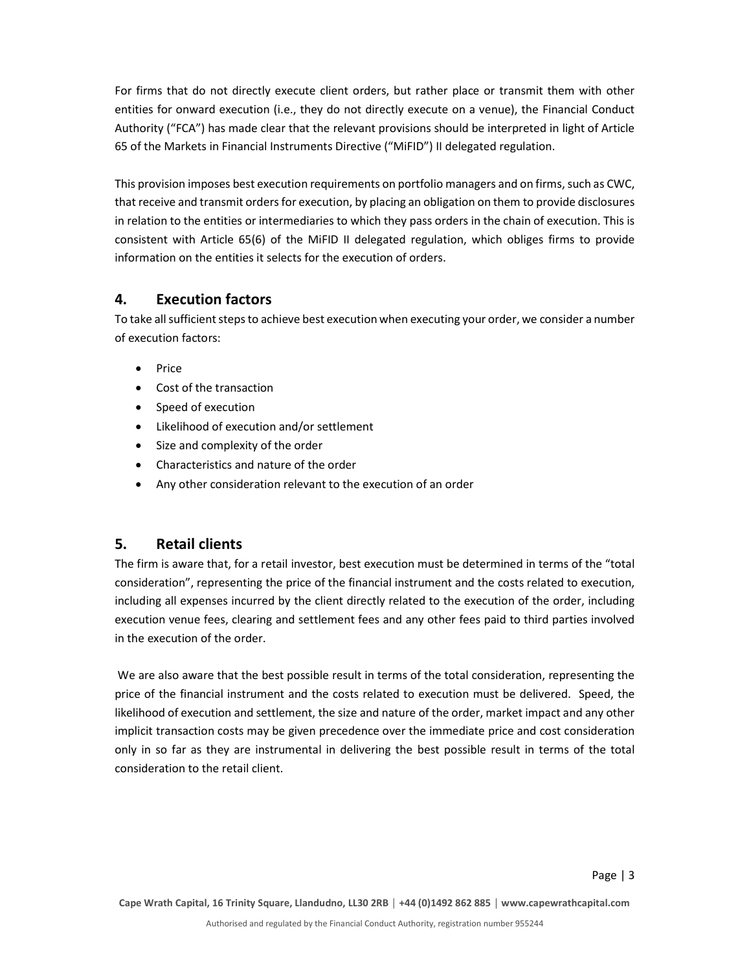For firms that do not directly execute client orders, but rather place or transmit them with other entities for onward execution (i.e., they do not directly execute on a venue), the Financial Conduct Authority ("FCA") has made clear that the relevant provisions should be interpreted in light of Article 65 of the Markets in Financial Instruments Directive ("MiFID") II delegated regulation.

This provision imposes best execution requirements on portfolio managers and on firms, such as CWC, that receive and transmit orders for execution, by placing an obligation on them to provide disclosures in relation to the entities or intermediaries to which they pass orders in the chain of execution. This is consistent with Article 65(6) of the MiFID II delegated regulation, which obliges firms to provide information on the entities it selects for the execution of orders.

#### 4. Execution factors

To take all sufficient steps to achieve best execution when executing your order, we consider a number of execution factors:

- Price
- Cost of the transaction
- Speed of execution
- Likelihood of execution and/or settlement
- Size and complexity of the order
- Characteristics and nature of the order
- Any other consideration relevant to the execution of an order

#### 5. Retail clients

The firm is aware that, for a retail investor, best execution must be determined in terms of the "total consideration", representing the price of the financial instrument and the costs related to execution, including all expenses incurred by the client directly related to the execution of the order, including execution venue fees, clearing and settlement fees and any other fees paid to third parties involved in the execution of the order.

 We are also aware that the best possible result in terms of the total consideration, representing the price of the financial instrument and the costs related to execution must be delivered. Speed, the likelihood of execution and settlement, the size and nature of the order, market impact and any other implicit transaction costs may be given precedence over the immediate price and cost consideration only in so far as they are instrumental in delivering the best possible result in terms of the total consideration to the retail client.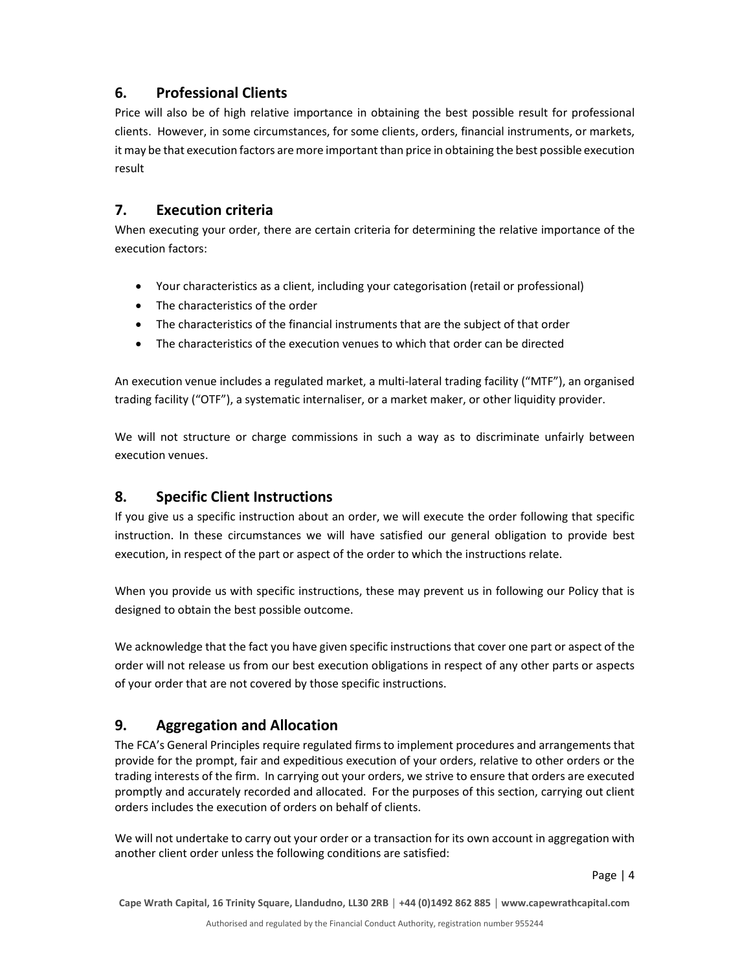#### 6. Professional Clients

Price will also be of high relative importance in obtaining the best possible result for professional clients. However, in some circumstances, for some clients, orders, financial instruments, or markets, it may be that execution factors are more important than price in obtaining the best possible execution result

#### 7. Execution criteria

When executing your order, there are certain criteria for determining the relative importance of the execution factors:

- Your characteristics as a client, including your categorisation (retail or professional)
- The characteristics of the order
- The characteristics of the financial instruments that are the subject of that order
- The characteristics of the execution venues to which that order can be directed

An execution venue includes a regulated market, a multi-lateral trading facility ("MTF"), an organised trading facility ("OTF"), a systematic internaliser, or a market maker, or other liquidity provider.

We will not structure or charge commissions in such a way as to discriminate unfairly between execution venues.

#### 8. Specific Client Instructions

If you give us a specific instruction about an order, we will execute the order following that specific instruction. In these circumstances we will have satisfied our general obligation to provide best execution, in respect of the part or aspect of the order to which the instructions relate.

When you provide us with specific instructions, these may prevent us in following our Policy that is designed to obtain the best possible outcome.

We acknowledge that the fact you have given specific instructions that cover one part or aspect of the order will not release us from our best execution obligations in respect of any other parts or aspects of your order that are not covered by those specific instructions.

### 9. Aggregation and Allocation

The FCA's General Principles require regulated firms to implement procedures and arrangements that provide for the prompt, fair and expeditious execution of your orders, relative to other orders or the trading interests of the firm. In carrying out your orders, we strive to ensure that orders are executed promptly and accurately recorded and allocated. For the purposes of this section, carrying out client orders includes the execution of orders on behalf of clients.

We will not undertake to carry out your order or a transaction for its own account in aggregation with another client order unless the following conditions are satisfied:

Page | 4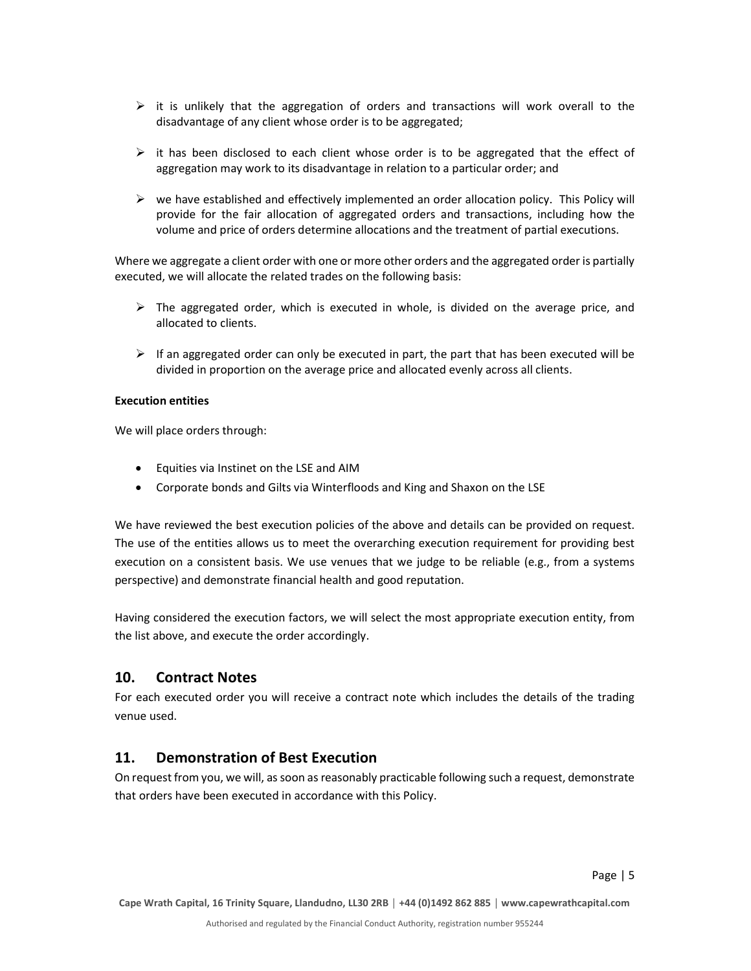- $\triangleright$  it is unlikely that the aggregation of orders and transactions will work overall to the disadvantage of any client whose order is to be aggregated;
- $\triangleright$  it has been disclosed to each client whose order is to be aggregated that the effect of aggregation may work to its disadvantage in relation to a particular order; and
- $\triangleright$  we have established and effectively implemented an order allocation policy. This Policy will provide for the fair allocation of aggregated orders and transactions, including how the volume and price of orders determine allocations and the treatment of partial executions.

Where we aggregate a client order with one or more other orders and the aggregated order is partially executed, we will allocate the related trades on the following basis:

- $\triangleright$  The aggregated order, which is executed in whole, is divided on the average price, and allocated to clients.
- $\triangleright$  If an aggregated order can only be executed in part, the part that has been executed will be divided in proportion on the average price and allocated evenly across all clients.

#### Execution entities

We will place orders through:

- Equities via Instinet on the LSE and AIM
- Corporate bonds and Gilts via Winterfloods and King and Shaxon on the LSE

We have reviewed the best execution policies of the above and details can be provided on request. The use of the entities allows us to meet the overarching execution requirement for providing best execution on a consistent basis. We use venues that we judge to be reliable (e.g., from a systems perspective) and demonstrate financial health and good reputation.

Having considered the execution factors, we will select the most appropriate execution entity, from the list above, and execute the order accordingly.

#### 10. Contract Notes

For each executed order you will receive a contract note which includes the details of the trading venue used.

#### 11. Demonstration of Best Execution

On request from you, we will, as soon as reasonably practicable following such a request, demonstrate that orders have been executed in accordance with this Policy.